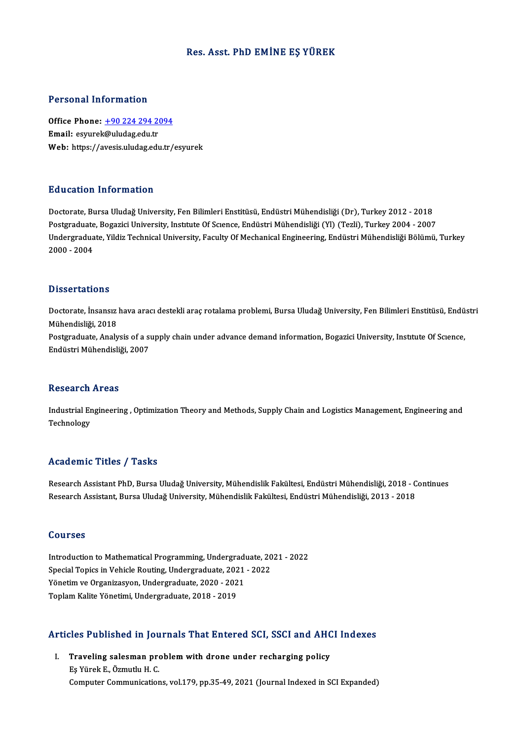### Res. Asst. PhD EMİNE EŞ YÜREK

### Personal Information

Personal Information<br>Office Phone: <u>+90 224 294 2094</u><br>Email: esymplo@uludes.edu.tr Fersonar miermation<br>Office Phone: <u>+90 224 294 20</u><br>Email: esyurek[@uludag.edu.tr](tel:+90 224 294 2094) Email: esyurek@uludag.edu.tr<br>Web: https://avesis.uludag.edu.tr/esyurek

### Education Information

Doctorate, Bursa Uludağ University, Fen Bilimleri Enstitüsü, Endüstri Mühendisliği (Dr), Turkey 2012 - 2018 Pu u sutrom minominucion<br>Doctorate, Bursa Uludağ University, Fen Bilimleri Enstitüsü, Endüstri Mühendisliği (Dr), Turkey 2012 - 2018<br>Postgraduate, Bogazici University, Institute Of Science, Endüstri Mühendisliği (Yl) (Tezl Undergraduate, Yildiz Technical University, Faculty Of Mechanical Engineering, Endüstri Mühendisliği Bölümü, Turkey<br>2000 - 2004 Postgraduate<br>Undergradua<br>2000 - 2004

#### **Dissertations**

Dissertations<br>Doctorate, İnsansız hava aracı destekli araç rotalama problemi, Bursa Uludağ University, Fen Bilimleri Enstitüsü, Endüstri<br>Mühandisliği, 2019 Mühendisliği, 2018<br>Mühendisliği, 2018<br>Restanadusta Analy Doctorate, İnsansız hava aracı destekli araç rotalama problemi, Bursa Uludağ University, Fen Bilimleri Enstitüsü, Endü<br>Mühendisliği, 2018<br>Postgraduate, Analysis of a supply chain under advance demand information, Bogazici Mühendisliği, 2018<br>Postgraduate, Analysis of a supply chain under advance demand information, Bogazici University, Institute Of Science,<br>Endüstri Mühendisliği, 2007

#### **Research Areas**

Research Areas<br>Industrial Engineering , Optimization Theory and Methods, Supply Chain and Logistics Management, Engineering and<br>Teshnelegy nessear en<br>Industrial Er<br>Technology

## Technology<br>Academic Titles / Tasks

Academic Titles / Tasks<br>Research Assistant PhD, Bursa Uludağ University, Mühendislik Fakültesi, Endüstri Mühendisliği, 2018 - Continues<br>Research Assistant, Bursa Uludağ University, Mühendislik Fakültesi, Endüstri Mühendisl rredu emre "rrres") - rasns<br>Research Assistant PhD, Bursa Uludağ University, Mühendislik Fakültesi, Endüstri Mühendisliği, 2018 - C<br>Research Assistant, Bursa Uludağ University, Mühendislik Fakültesi, Endüstri Mühendisliği, Research Assistant, Bursa Uludağ University, Mühendislik Fakültesi, Endüstri Mühendisliği, 2013 - 2018<br>Courses

Introduction to Mathematical Programming, Undergraduate, 2021 - 2022 Sources<br>Introduction to Mathematical Programming, Undergraduate, 20<br>Special Topics in Vehicle Routing, Undergraduate, 2021 - 2022<br>Vänetim ve Organizasvon, Undergraduate, 2020, 2021 Introduction to Mathematical Programming, Undergraduate, 2021<br>Special Topics in Vehicle Routing, Undergraduate, 2021<br>Yönetim ve Organizasyon, Undergraduate, 2020 - 2021<br>Tenlam Kalite Vänetimi, Undergraduate, 2019, 2019 Special Topics in Vehicle Routing, Undergraduate, 202<br>Yönetim ve Organizasyon, Undergraduate, 2020 - 202<br>Toplam Kalite Yönetimi, Undergraduate, 2018 - 2019

## Toplam Kalite Yönetimi, Undergraduate, 2018 - 2019<br>Articles Published in Journals That Entered SCI, SSCI and AHCI Indexes

rticles Published in Journals That Entered SCI, SSCI and AHC<br>I. Traveling salesman problem with drone under recharging policy Traveling salesman pro<br>Traveling salesman pro<br>Eş Yürek E., Özmutlu H. C.<br>Computer Communication Eş Yürek E., Özmutlu H. C.<br>Computer Communications, vol.179, pp.35-49, 2021 (Journal Indexed in SCI Expanded)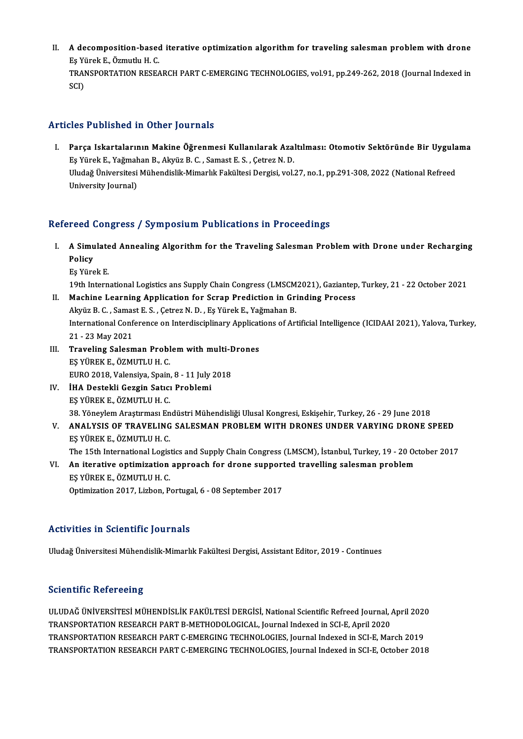II. A decomposition-based iterative optimization algorithm for traveling salesman problem with drone<br>Fo Yünak E. Özmutlu H.C. **A decomposition-based<br>Eş Yürek E., Özmutlu H. C.<br>TRANSPORTATION RESEA** A decomposition-based iterative optimization algorithm for traveling salesman problem with drone<br>Eş Yürek E., Özmutlu H. C.<br>TRANSPORTATION RESEARCH PART C-EMERGING TECHNOLOGIES, vol.91, pp.249-262, 2018 (Journal Indexed in Eş Yi<br>TRAI<br>SCI)

# Articles Published in Other Journals

rticles Published in Other Journals<br>I. Parça Iskartalarının Makine Öğrenmesi Kullanılarak Azaltılması: Otomotiv Sektöründe Bir Uygulama<br>Fe <sup>Vürok E. Vağmahan B. Alayüz B. C. Samest E.S. Cetrer N. D.</sup> I.<br>Eş Yürek E., Yağmahan B., Akyüz B. C. , Samast E. S. , Çetrez N. D.<br>Eş Yürek E., Yağmahan B., Akyüz B. C. , Samast E. S. , Çetrez N. D.<br>Uludağ Üniversitesi Mühandislik Mimarlık Fakültesi Dergisi veli Parça Iskartalarının Makine Öğrenmesi Kullanılarak Azaltılması: Otomotiv Sektöründe Bir Uygula<br>Eş Yürek E., Yağmahan B., Akyüz B. C. , Samast E. S. , Çetrez N. D.<br>Uludağ Üniversitesi Mühendislik-Mimarlık Fakültesi Dergisi, Eş Yürek E., Yağmal<br>Uludağ Üniversitesi<br>University Journal)

# University Journal)<br>Refereed Congress / Symposium Publications in Proceedings

- efereed Congress / Symposium Publications in Proceedings<br>I. A Simulated Annealing Algorithm for the Traveling Salesman Problem with Drone under Recharging<br>Polisy A Simu<br>Policy<br>Policy A Simulate<br>Policy<br>Eş Yürek E.<br><sup>19th Intern</sup> Policy<br>Eş Yürek E.<br>19th International Logistics ans Supply Chain Congress (LMSCM2021), Gaziantep, Turkey, 21 - 22 October 2021<br>Mashina Loarning Annlisation for Saran Bredistion in Crinding Brogoss.
	-

- Eş Yürek E.<br>19th International Logistics ans Supply Chain Congress (LMSCM2021), Gaziantep<br>II. Machine Learning Application for Scrap Prediction in Grinding Process<br>Algric P. C. Samest E.S., Cetres N.D., Es Virek E. Vağmaha 19th International Logistics ans Supply Chain Congress (LMSCM<br>Machine Learning Application for Scrap Prediction in Gr.<br>Akyüz B. C. , Samast E. S. , Çetrez N. D. , Eş Yürek E., Yağmahan B.<br>International Conference on Interd Machine Learning Application for Scrap Prediction in Grinding Process<br>Akyüz B. C. , Samast E. S. , Çetrez N. D. , Eş Yürek E., Yağmahan B.<br>International Conference on Interdisciplinary Applications of Artificial Intelligen Akyüz B. C. , Samas<br>International Conf<br>21 - 23 May 2021<br>Traveling Salean International Conference on Interdisciplinary Applicat<br>21 - 23 May 2021<br>III. Traveling Salesman Problem with multi-Drones<br>ES VIDEV E ÖZMITI II H.C.
- 21 23 May 2021<br>Traveling Salesman Probl<br>EŞ YÜREK E., ÖZMUTLU H. C.<br>EURO 2018 Valensiya Spain Traveling Salesman Problem with multi-<mark>L</mark><br>EŞ YÜREK E., ÖZMUTLU H. C.<br>EURO 2018, Valensiya, Spain, 8 - 11 July 2018<br><sup>IHA</sup> Pestakli Cergin Satısı Problemi EŞ YÜREK E., ÖZMUTLU H. C.<br>EURO 2018, Valensiya, Spain, 8 - 11 July<br>IV. İHA Destekli Gezgin Satıcı Problemi<br>ES VÜREK E. ÖZMUTLU H. C
- EURO 2018, Valensiya, Spain<br>İHA Destekli Gezgin Satıcı<br>EŞ YÜREK E., ÖZMUTLU H. C.<br>28 Yänevlem Arastrması En İHA Destekli Gezgin Satıcı Problemi<br>EŞ YÜREK E., ÖZMUTLU H. C.<br>38. Yöneylem Araştırması Endüstri Mühendisliği Ulusal Kongresi, Eskişehir, Turkey, 26 - 29 June 2018<br>ANALYSIS OF TRAVELING SALESMAN PROPLEM WITH PRONES UNDER V

EŞ YÜREK E., ÖZMUTLU H. C.<br>38. Yöneylem Araştırması Endüstri Mühendisliği Ulusal Kongresi, Eskişehir, Turkey, 26 - 29 June 2018<br>V. ANALYSIS OF TRAVELING SALESMAN PROBLEM WITH DRONES UNDER VARYING DRONE SPEED<br>ES YÜREK E 38. Yöneylem Araştırması En<br>ANALYSIS OF TRAVELING<br>EŞ YÜREK E., ÖZMUTLU H. C.<br>The 15th International Legis

The 15th International Logistics and Supply Chain Congress (LMSCM), İstanbul, Turkey, 19 - 20 October 2017

### EŞ YÜREK E., ÖZMUTLU H. C.<br>The 15th International Logistics and Supply Chain Congress (LMSCM), İstanbul, Turkey, 19 - 20 Oc<br>VI. An iterative optimization approach for drone supported travelling salesman problem<br>FS VÜREV E. The 15th International Logis<br>An iterative optimization<br>EŞ YÜREK E., ÖZMUTLU H. C.<br>Optimization 2017, Lizbon B An iterative optimization approach for drone support<br>EŞ YÜREK E., ÖZMUTLU H. C.<br>Optimization 2017, Lizbon, Portugal, 6 - 08 September 2017

Optimization 2017, Lizbon, Portugal, 6 - 08 September 2017<br>Activities in Scientific Journals

Uludağ Üniversitesi Mühendislik-Mimarlık Fakültesi Dergisi, Assistant Editor, 2019 - Continues

### **Scientific Refereeing**

Scientific Refereeing<br>ULUDAĞ ÜNİVERSİTESİ MÜHENDİSLİK FAKÜLTESİ DERGİSİ, National Scientific Refreed Journal, April 2020<br>TRANSPORTATION RESEARCH RART B.METHODOLOCICAL, Journal Indoved in SCLE, April 2020 DETENTITION TETET DENNIS<br>ULUDAĞ ÜNİVERSİTESİ MÜHENDİSLİK FAKÜLTESİ DERGİSİ, National Scientific Refreed Journal, .<br>TRANSPORTATION RESEARCH PART G EMERGING TEGUNOLOGIES, Journal Indexed in SCI-E, April 2020<br>TRANSPORTATION R ULUDAĞ ÜNIVERSİTESİ MÜHENDİSLİK FAKÜLTESİ DERGİSİ, National Scientific Refreed Journal, April 2020<br>TRANSPORTATION RESEARCH PART B-METHODOLOGICAL, Journal Indexed in SCI-E, April 2020<br>TRANSPORTATION RESEARCH PART C-EMERGING TRANSPORTATION RESEARCH PART B-METHODOLOGICAL, Journal Indexed in SCI-E, April 2020<br>TRANSPORTATION RESEARCH PART C-EMERGING TECHNOLOGIES, Journal Indexed in SCI-E, March 2019<br>TRANSPORTATION RESEARCH PART C-EMERGING TECHNOL